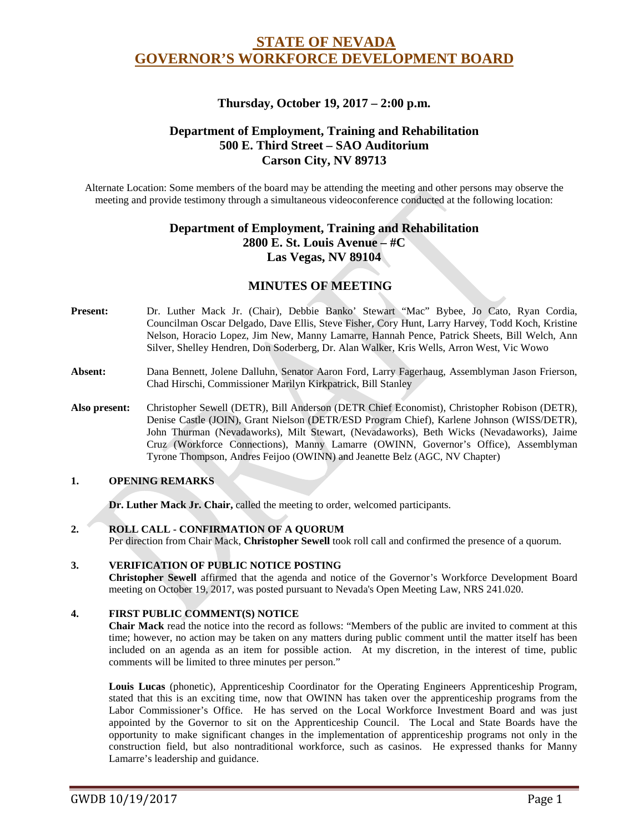# **STATE OF NEVADA GOVERNOR'S WORKFORCE DEVELOPMENT BOARD**

# **Thursday, October 19, 2017 – 2:00 p.m.**

# **Department of Employment, Training and Rehabilitation 500 E. Third Street – SAO Auditorium Carson City, NV 89713**

Alternate Location: Some members of the board may be attending the meeting and other persons may observe the meeting and provide testimony through a simultaneous videoconference conducted at the following location:

# **Department of Employment, Training and Rehabilitation 2800 E. St. Louis Avenue – #C Las Vegas, NV 89104**

# **MINUTES OF MEETING**

- **Present:** Dr. Luther Mack Jr. (Chair), Debbie Banko' Stewart "Mac" Bybee, Jo Cato, Ryan Cordia, Councilman Oscar Delgado, Dave Ellis, Steve Fisher, Cory Hunt, Larry Harvey, Todd Koch, Kristine Nelson, Horacio Lopez, Jim New, Manny Lamarre, Hannah Pence, Patrick Sheets, Bill Welch, Ann Silver, Shelley Hendren, Don Soderberg, Dr. Alan Walker, Kris Wells, Arron West, Vic Wowo
- **Absent:** Dana Bennett, Jolene Dalluhn, Senator Aaron Ford, Larry Fagerhaug, Assemblyman Jason Frierson, Chad Hirschi, Commissioner Marilyn Kirkpatrick, Bill Stanley
- **Also present:** Christopher Sewell (DETR), Bill Anderson (DETR Chief Economist), Christopher Robison (DETR), Denise Castle (JOIN), Grant Nielson (DETR/ESD Program Chief), Karlene Johnson (WISS/DETR), John Thurman (Nevadaworks), Milt Stewart, (Nevadaworks), Beth Wicks (Nevadaworks), Jaime Cruz (Workforce Connections), Manny Lamarre (OWINN, Governor's Office), Assemblyman Tyrone Thompson, Andres Feijoo (OWINN) and Jeanette Belz (AGC, NV Chapter)

#### **1. OPENING REMARKS**

**Dr. Luther Mack Jr. Chair,** called the meeting to order, welcomed participants.

#### **2. ROLL CALL - CONFIRMATION OF A QUORUM**

Per direction from Chair Mack, **Christopher Sewell** took roll call and confirmed the presence of a quorum.

#### **3. VERIFICATION OF PUBLIC NOTICE POSTING**

**Christopher Sewell** affirmed that the agenda and notice of the Governor's Workforce Development Board meeting on October 19, 2017, was posted pursuant to Nevada's Open Meeting Law, NRS 241.020.

#### **4. FIRST PUBLIC COMMENT(S) NOTICE**

**Chair Mack** read the notice into the record as follows: "Members of the public are invited to comment at this time; however, no action may be taken on any matters during public comment until the matter itself has been included on an agenda as an item for possible action. At my discretion, in the interest of time, public comments will be limited to three minutes per person."

**Louis Lucas** (phonetic), Apprenticeship Coordinator for the Operating Engineers Apprenticeship Program, stated that this is an exciting time, now that OWINN has taken over the apprenticeship programs from the Labor Commissioner's Office. He has served on the Local Workforce Investment Board and was just appointed by the Governor to sit on the Apprenticeship Council. The Local and State Boards have the opportunity to make significant changes in the implementation of apprenticeship programs not only in the construction field, but also nontraditional workforce, such as casinos. He expressed thanks for Manny Lamarre's leadership and guidance.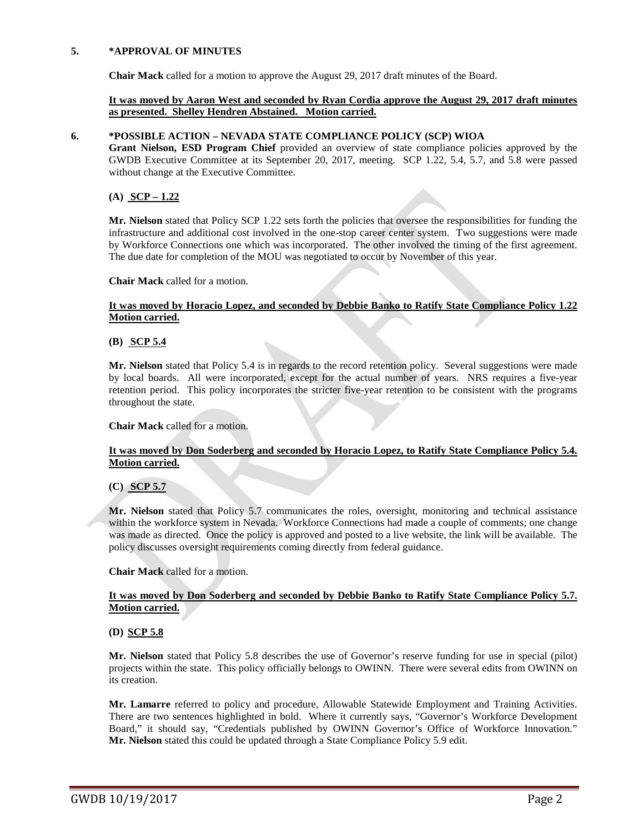#### **5. \*APPROVAL OF MINUTES**

**Chair Mack** called for a motion to approve the August 29, 2017 draft minutes of the Board.

#### **It was moved by Aaron West and seconded by Ryan Cordia approve the August 29, 2017 draft minutes as presented. Shelley Hendren Abstained. Motion carried.**

#### **6. \*POSSIBLE ACTION – NEVADA STATE COMPLIANCE POLICY (SCP) WIOA**

**Grant Nielson, ESD Program Chief** provided an overview of state compliance policies approved by the GWDB Executive Committee at its September 20, 2017, meeting. SCP 1.22, 5.4, 5.7, and 5.8 were passed without change at the Executive Committee.

## **(A) SCP – 1.22**

**Mr. Nielson** stated that Policy SCP 1.22 sets forth the policies that oversee the responsibilities for funding the infrastructure and additional cost involved in the one-stop career center system. Two suggestions were made by Workforce Connections one which was incorporated. The other involved the timing of the first agreement. The due date for completion of the MOU was negotiated to occur by November of this year.

#### **Chair Mack** called for a motion.

### **It was moved by Horacio Lopez, and seconded by Debbie Banko to Ratify State Compliance Policy 1.22 Motion carried.**

#### **(B) SCP 5.4**

**Mr. Nielson** stated that Policy 5.4 is in regards to the record retention policy. Several suggestions were made by local boards. All were incorporated, except for the actual number of years. NRS requires a five-year retention period. This policy incorporates the stricter five-year retention to be consistent with the programs throughout the state.

#### **Chair Mack** called for a motion.

### **It was moved by Don Soderberg and seconded by Horacio Lopez, to Ratify State Compliance Policy 5.4. Motion carried.**

#### **(C) SCP 5.7**

**Mr. Nielson** stated that Policy 5.7 communicates the roles, oversight, monitoring and technical assistance within the workforce system in Nevada. Workforce Connections had made a couple of comments; one change was made as directed. Once the policy is approved and posted to a live website, the link will be available. The policy discusses oversight requirements coming directly from federal guidance.

**Chair Mack** called for a motion.

#### **It was moved by Don Soderberg and seconded by Debbie Banko to Ratify State Compliance Policy 5.7. Motion carried.**

#### **(D) SCP 5.8**

**Mr. Nielson** stated that Policy 5.8 describes the use of Governor's reserve funding for use in special (pilot) projects within the state. This policy officially belongs to OWINN. There were several edits from OWINN on its creation.

**Mr. Lamarre** referred to policy and procedure, Allowable Statewide Employment and Training Activities. There are two sentences highlighted in bold. Where it currently says, "Governor's Workforce Development Board," it should say, "Credentials published by OWINN Governor's Office of Workforce Innovation." **Mr. Nielson** stated this could be updated through a State Compliance Policy 5.9 edit.